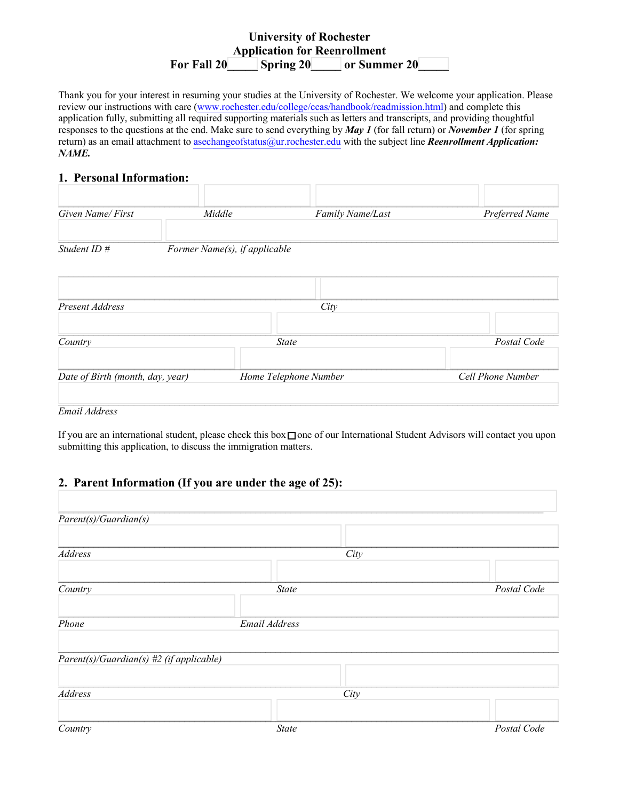## **University of Rochester Application for Reenrollment**  For Fall 20 Spring 20 or Summer 20

Thank you for your interest in resuming your studies at the University of Rochester. We welcome your application. Please review our instructions with care (www.rochester.edu/college/ccas/handbook/readmission.html) and complete this application fully, submitting all required supporting materials such as letters and transcripts, and providing thoughtful responses to the questions at the end. Make sure to send everything by *May 1* (for fall return) or *November 1* (for spring return) as an email attachment to asechangeofstatus@ur.rochester.edu with the subject line *Reenrollment Application: NAME.*

#### **1. Personal Information:**

| Given Name/First                 | Middle                        | Family Name/Last      | Preferred Name    |
|----------------------------------|-------------------------------|-----------------------|-------------------|
| Student ID #                     | Former Name(s), if applicable |                       |                   |
|                                  |                               |                       |                   |
| Present Address                  |                               | City                  |                   |
| Country                          |                               | <b>State</b>          |                   |
| Date of Birth (month, day, year) |                               | Home Telephone Number | Cell Phone Number |

*Email Address*

If you are an international student, please check this box□ one of our International Student Advisors will contact you upon submitting this application, to discuss the immigration matters.

## **2. Parent Information (If you are under the age of 25):**

| Parent(s)/Guardian(s)                                 |               |             |
|-------------------------------------------------------|---------------|-------------|
|                                                       |               |             |
| Address                                               | City          |             |
|                                                       |               |             |
| Country                                               | <b>State</b>  | Postal Code |
|                                                       |               |             |
| Phone                                                 | Email Address |             |
|                                                       |               |             |
| $\overline{Parent(s)}$ Guardian(s) #2 (if applicable) |               |             |
|                                                       |               |             |
| Address                                               | City          |             |
|                                                       |               |             |
| Country                                               | <b>State</b>  | Postal Code |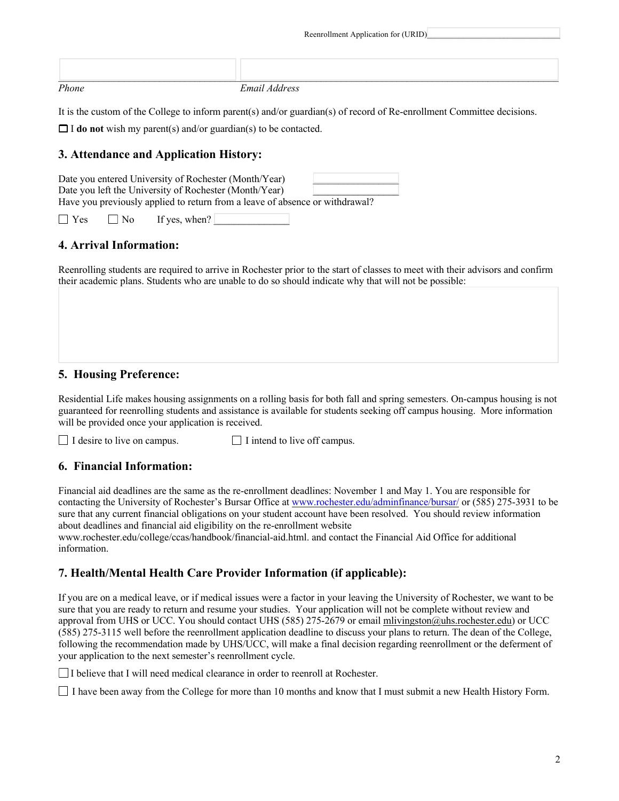| Reenrollment Application for (URID) |  |
|-------------------------------------|--|
|-------------------------------------|--|

*Phone Email Address*

It is the custom of the College to inform parent(s) and/or guardian(s) of record of Re-enrollment Committee decisions.

\_\_\_\_\_\_\_\_\_\_\_\_\_\_\_\_\_\_\_\_\_\_\_\_\_\_\_\_\_\_\_\_\_\_\_\_\_\_\_\_\_\_\_\_\_\_\_\_\_\_\_\_\_\_\_\_\_\_\_\_\_\_\_\_\_\_\_\_\_\_\_\_\_\_\_\_\_\_\_\_\_\_\_\_\_\_\_\_\_\_\_\_\_\_\_\_\_\_\_

□ <sup>I</sup>**do not** wish my parent(s) and/or guardian(s) to be contacted.

## **3. Attendance and Application History:**

|                     | Date you entered University of Rochester (Month/Year)  |                                                                              |
|---------------------|--------------------------------------------------------|------------------------------------------------------------------------------|
|                     | Date you left the University of Rochester (Month/Year) |                                                                              |
|                     |                                                        | Have you previously applied to return from a leave of absence or withdrawal? |
| $\vert \ \vert$ Yes | $\Box$ No If yes, when?                                |                                                                              |

## **4. Arrival Information:**

Reenrolling students are required to arrive in Rochester prior to the start of classes to meet with their advisors and confirm their academic plans. Students who are unable to do so should indicate why that will not be possible:

## **5. Housing Preference:**

Residential Life makes housing assignments on a rolling basis for both fall and spring semesters. On-campus housing is not guaranteed for reenrolling students and assistance is available for students seeking off campus housing. More information will be provided once your application is received.

 $\Box$  I desire to live on campus.  $\Box$  I intend to live off campus.

#### **6. Financial Information:**

Financial aid deadlines are the same as the re-enrollment deadlines: November 1 and May 1. You are responsible for contacting the University of Rochester's Bursar Office at www.rochester.edu/adminfinance/bursar/ or (585) 275-3931 to be sure that any current financial obligations on your student account have been resolved. You should review information about deadlines and financial aid eligibility on the re-enrollment website www.rochester.edu/college/ccas/handbook/financial-aid.html. and contact the Financial Aid Office for additional

information.

## **7. Health/Mental Health Care Provider Information (if applicable):**

If you are on a medical leave, or if medical issues were a factor in your leaving the University of Rochester, we want to be sure that you are ready to return and resume your studies. Your application will not be complete without review and approval from UHS or UCC. You should contact UHS (585) 275-2679 or email mlivingston@uhs.rochester.edu) or UCC (585) 275-3115 well before the reenrollment application deadline to discuss your plans to return. The dean of the College, following the recommendation made by UHS/UCC, will make a final decision regarding reenrollment or the deferment of your application to the next semester's reenrollment cycle.

□ I believe that I will need medical clearance in order to reenroll at Rochester.

I have been away from the College for more than 10 months and know that I must submit a new Health History Form.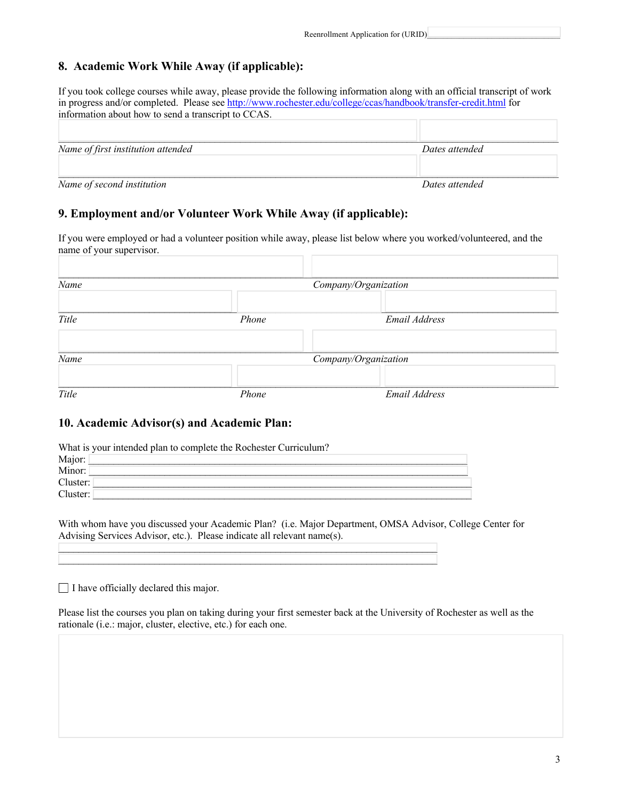# **8. Academic Work While Away (if applicable):**

If you took college courses while away, please provide the following information along with an official transcript of work in progress and/or completed. Please see http://www.rochester.edu/college/ccas/handbook/transfer-credit.html for information about how to send a transcript to CCAS.

| Name of first institution attended | Dates attended |
|------------------------------------|----------------|
| Name of second institution         | Dates attended |

## **9. Employment and/or Volunteer Work While Away (if applicable):**

If you were employed or had a volunteer position while away, please list below where you worked/volunteered, and the name of your supervisor.

| Name  | Company/Organization |                      |  |
|-------|----------------------|----------------------|--|
| Title | Phone                | Email Address        |  |
|       |                      |                      |  |
| Name  |                      | Company/Organization |  |
| Title | Phone                | Email Address        |  |

### **10. Academic Advisor(s) and Academic Plan:**

| What is your intended plan to complete the Rochester Curriculum? |
|------------------------------------------------------------------|
| Major:                                                           |
| Minor:                                                           |
| Cluster:                                                         |
| Cluster:                                                         |
|                                                                  |

 $\mathcal{L}_\text{max}$  and  $\mathcal{L}_\text{max}$  and  $\mathcal{L}_\text{max}$  and  $\mathcal{L}_\text{max}$  and  $\mathcal{L}_\text{max}$ 

With whom have you discussed your Academic Plan? (i.e. Major Department, OMSA Advisor, College Center for Advising Services Advisor, etc.). Please indicate all relevant name(s).

 $\Box$  I have officially declared this major.

Please list the courses you plan on taking during your first semester back at the University of Rochester as well as the rationale (i.e.: major, cluster, elective, etc.) for each one.